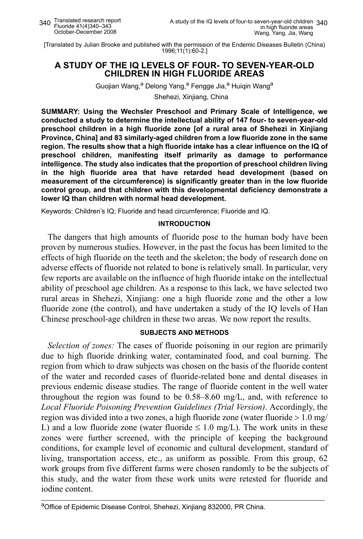[Translated by Julian Brooke and published with the permission of the Endemic Diseases Bulletin (China) 1996;11(1):60-2.]

# **A STUDY OF THE IQ LEVELS OF FOUR- TO SEVEN-YEAR-OLD CHILDREN IN HIGH FLUORIDE AREAS**

Guojian Wang,<sup>a</sup> Delong Yang,<sup>a</sup> Fengge Jia,<sup>a</sup> Huigin Wang<sup>a</sup>

Shehezi, Xinjiang, China

**SUMMARY: Using the Wechsler Preschool and Primary Scale of Intelligence, we conducted a study to determine the intellectual ability of 147 four- to seven-year-old preschool children in a high fluoride zone [of a rural area of Shehezi in Xinjiang Province, China] and 83 similarly-aged children from a low fluoride zone in the same region. The results show that a high fluoride intake has a clear influence on the IQ of preschool children, manifesting itself primarily as damage to performance intelligence. The study also indicates that the proportion of preschool children living in the high fluoride area that have retarded head development (based on measurement of the circumference) is significantly greater than in the low fluoride control group, and that children with this developmental deficiency demonstrate a lower IQ than children with normal head development.**

Keywords: Children's IQ; Fluoride and head circumference; Fluoride and IQ.

## **INTRODUCTION**

The dangers that high amounts of fluoride pose to the human body have been proven by numerous studies. However, in the past the focus has been limited to the effects of high fluoride on the teeth and the skeleton; the body of research done on adverse effects of fluoride not related to bone is relatively small. In particular, very few reports are available on the influence of high fluoride intake on the intellectual ability of preschool age children. As a response to this lack, we have selected two rural areas in Shehezi, Xinjiang: one a high fluoride zone and the other a low fluoride zone (the control), and have undertaken a study of the IQ levels of Han Chinese preschool-age children in these two areas. We now report the results.

## **SUBJECTS AND METHODS**

*Selection of zones:* The cases of fluoride poisoning in our region are primarily due to high fluoride drinking water, contaminated food, and coal burning. The region from which to draw subjects was chosen on the basis of the fluoride content of the water and recorded cases of fluoride-related bone and dental diseases in previous endemic disease studies. The range of fluoride content in the well water throughout the region was found to be 0.58–8.60 mg/L, and, with reference to *Local Fluoride Poisoning Prevention Guidelines (Trial Version)*. Accordingly, the region was divided into a two zones, a high fluoride zone (water fluoride > 1.0 mg/ L) and a low fluoride zone (water fluoride  $\leq 1.0$  mg/L). The work units in these zones were further screened, with the principle of keeping the background conditions, for example level of economic and cultural development, standard of living, transportation access, etc., as uniform as possible. From this group, 62 work groups from five different farms were chosen randomly to be the subjects of this study, and the water from these work units were retested for fluoride and iodine content.

aOffice of Epidemic Disease Control, Shehezi, Xinjiang 832000, PR China.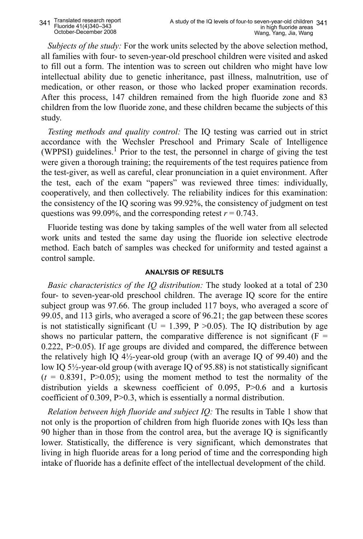*Subjects of the study:* For the work units selected by the above selection method, all families with four- to seven-year-old preschool children were visited and asked to fill out a form. The intention was to screen out children who might have low intellectual ability due to genetic inheritance, past illness, malnutrition, use of medication, or other reason, or those who lacked proper examination records. After this process, 147 children remained from the high fluoride zone and 83 children from the low fluoride zone, and these children became the subjects of this study.

*Testing methods and quality control:* The IQ testing was carried out in strict accordance with the Wechsler Preschool and Primary Scale of Intelligence (WPPSI) guidelines.<sup>1</sup> Prior to the test, the personnel in charge of giving the test were given a thorough training; the requirements of the test requires patience from the test-giver, as well as careful, clear pronunciation in a quiet environment. After the test, each of the exam "papers" was reviewed three times: individually, cooperatively, and then collectively. The reliability indices for this examination: the consistency of the IQ scoring was 99.92%, the consistency of judgment on test questions was 99.09%, and the corresponding retest  $r = 0.743$ .

Fluoride testing was done by taking samples of the well water from all selected work units and tested the same day using the fluoride ion selective electrode method. Each batch of samples was checked for uniformity and tested against a control sample.

# **ANALYSIS OF RESULTS**

*Basic characteristics of the IQ distribution:* The study looked at a total of 230 four- to seven-year-old preschool children. The average IQ score for the entire subject group was 97.66. The group included 117 boys, who averaged a score of 99.05, and 113 girls, who averaged a score of 96.21; the gap between these scores is not statistically significant (U = 1.399, P  $>0.05$ ). The IO distribution by age shows no particular pattern, the comparative difference is not significant ( $F =$  $0.222$ , P $>0.05$ ). If age groups are divided and compared, the difference between the relatively high IQ  $4\frac{1}{2}$ -year-old group (with an average IQ of 99.40) and the low IQ 5½-year-old group (with average IQ of 95.88) is not statistically significant  $(t = 0.8391, P > 0.05)$ ; using the moment method to test the normality of the distribution yields a skewness coefficient of 0.095, P>0.6 and a kurtosis coefficient of 0.309, P>0.3, which is essentially a normal distribution.

*Relation between high fluoride and subject IQ:* The results in Table 1 show that not only is the proportion of children from high fluoride zones with IQs less than 90 higher than in those from the control area, but the average IQ is significantly lower. Statistically, the difference is very significant, which demonstrates that living in high fluoride areas for a long period of time and the corresponding high intake of fluoride has a definite effect of the intellectual development of the child.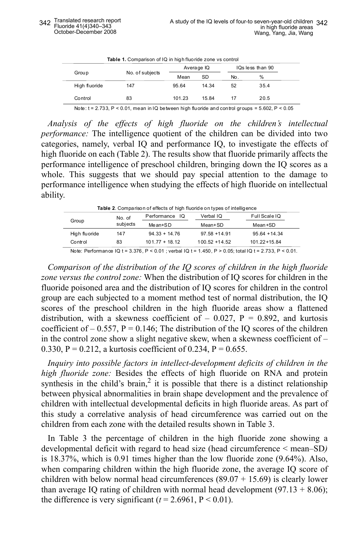| Table 1. Comparison of IQ in high fluoride zone vs control |                 |            |       |                  |      |  |  |
|------------------------------------------------------------|-----------------|------------|-------|------------------|------|--|--|
| Group                                                      | No. of subjects | Average IQ |       | IQs less than 90 |      |  |  |
|                                                            |                 | Mean       | SD    | No.              | %    |  |  |
| High fluoride                                              | 147             | 95.64      | 14 34 | 52               | 35.4 |  |  |
| Control                                                    | 83              | 101.23     | 15 84 | 17               | 20.5 |  |  |
|                                                            |                 |            |       |                  |      |  |  |

Note:  $t = 2.733$ ,  $P < 0.01$ , mean in IQ between high fluoride and control groups = 5.602,  $P < 0.05$ 

*Analysis of the effects of high fluoride on the children's intellectual performance:* The intelligence quotient of the children can be divided into two categories, namely, verbal IQ and performance IQ, to investigate the effects of high fluoride on each (Table 2). The results show that fluoride primarily affects the performance intelligence of preschool children, bringing down the IQ scores as a whole. This suggests that we should pay special attention to the damage to performance intelligence when studying the effects of high fluoride on intellectual ability.

| <b>Table 2.</b> Comparison of effects of high fluoride on types of intelligence |          |                  |                  |                                                                                                                     |  |  |
|---------------------------------------------------------------------------------|----------|------------------|------------------|---------------------------------------------------------------------------------------------------------------------|--|--|
| Group                                                                           | No. of   | Performance IQ   | Verbal IQ        | Full Scale IQ<br>Mean+SD                                                                                            |  |  |
|                                                                                 | subjects | $Mean+SD$        | Mean+SD          |                                                                                                                     |  |  |
| High fluoride                                                                   | 147      | $94.33 + 14.76$  | $97.58 + 14.91$  | $95.64 + 14.34$                                                                                                     |  |  |
| Control                                                                         | 83       | $101.77 + 18.12$ | $100.52 + 14.52$ | $101.22 + 15.84$                                                                                                    |  |  |
|                                                                                 |          |                  |                  | Note: Defermence IO $I = 2.270$ , D, $2.04$ , under IO $I = 4$ , $IFA$ , D, $A$ , $OFA$ , $I=0$ , $722$ , D, $2.04$ |  |  |

 $N$ mance IQ t = 3.376, P < 0.01 ; verbal IQ t = 1.450, P > 0.05; total IQ t = 2.733, P < 0.01.

*Comparison of the distribution of the IQ scores of children in the high fluoride zone versus the control zone:* When the distribution of IQ scores for children in the fluoride poisoned area and the distribution of IQ scores for children in the control group are each subjected to a moment method test of normal distribution, the IQ scores of the preschool children in the high fluoride areas show a flattened distribution, with a skewness coefficient of  $-$  0.027, P = 0.892, and kurtosis coefficient of  $-0.557$ , P = 0.146; The distribution of the IQ scores of the children in the control zone show a slight negative skew, when a skewness coefficient of – 0.330, P = 0.212, a kurtosis coefficient of 0.234, P = 0.655.

*Inquiry into possible factors in intellect-development deficits of children in the high fluoride zone:* Besides the effects of high fluoride on RNA and protein synthesis in the child's brain,<sup>2</sup> it is possible that there is a distinct relationship between physical abnormalities in brain shape development and the prevalence of children with intellectual developmental deficits in high fluoride areas. As part of this study a correlative analysis of head circumference was carried out on the children from each zone with the detailed results shown in Table 3.

In Table 3 the percentage of children in the high fluoride zone showing a developmental deficit with regard to head size (head circumference < mean–SD*)* is 18.37%, which is 0.91 times higher than the low fluoride zone (9.64%). Also, when comparing children within the high fluoride zone, the average IQ score of children with below normal head circumferences  $(89.07 + 15.69)$  is clearly lower than average IQ rating of children with normal head development  $(97.13 + 8.06)$ ; the difference is very significant  $(t = 2.6961, P \le 0.01)$ .